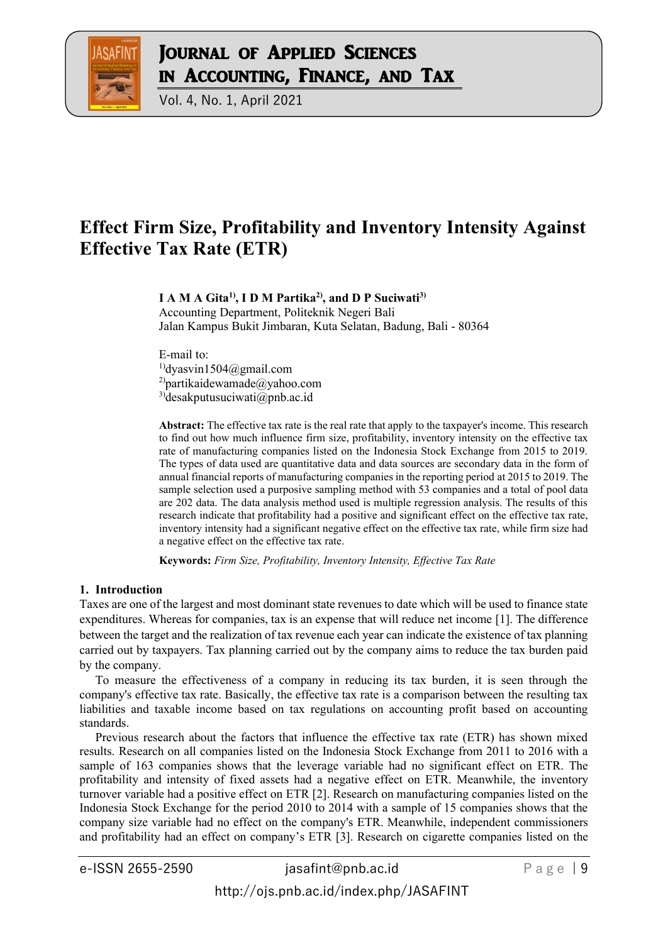

Vol. 4, No. 1, April 2021

# **Effect Firm Size, Profitability and Inventory Intensity Against Effective Tax Rate (ETR)**

# **I A M A Gita1) , I D M Partika2) , and D P Suciwati3)**

Accounting Department, Politeknik Negeri Bali Jalan Kampus Bukit Jimbaran, Kuta Selatan, Badung, Bali - 80364

E-mail to:  $<sup>1</sup>$ dyasvin1504@gmail.com</sup> <sup>2</sup>)partikaidewamade@yahoo.com 3)desakputusuciwati@pnb.ac.id

**Abstract:** The effective tax rate is the real rate that apply to the taxpayer's income. This research to find out how much influence firm size, profitability, inventory intensity on the effective tax rate of manufacturing companies listed on the Indonesia Stock Exchange from 2015 to 2019. The types of data used are quantitative data and data sources are secondary data in the form of annual financial reports of manufacturing companies in the reporting period at 2015 to 2019. The sample selection used a purposive sampling method with 53 companies and a total of pool data are 202 data. The data analysis method used is multiple regression analysis. The results of this research indicate that profitability had a positive and significant effect on the effective tax rate, inventory intensity had a significant negative effect on the effective tax rate, while firm size had a negative effect on the effective tax rate.

**Keywords:** *Firm Size, Profitability, Inventory Intensity, Effective Tax Rate*

#### **1. Introduction**

Taxes are one of the largest and most dominant state revenues to date which will be used to finance state expenditures. Whereas for companies, tax is an expense that will reduce net income [1]. The difference between the target and the realization of tax revenue each year can indicate the existence of tax planning carried out by taxpayers. Tax planning carried out by the company aims to reduce the tax burden paid by the company.

To measure the effectiveness of a company in reducing its tax burden, it is seen through the company's effective tax rate. Basically, the effective tax rate is a comparison between the resulting tax liabilities and taxable income based on tax regulations on accounting profit based on accounting standards.

Previous research about the factors that influence the effective tax rate (ETR) has shown mixed results. Research on all companies listed on the Indonesia Stock Exchange from 2011 to 2016 with a sample of 163 companies shows that the leverage variable had no significant effect on ETR. The profitability and intensity of fixed assets had a negative effect on ETR. Meanwhile, the inventory turnover variable had a positive effect on ETR [2]. Research on manufacturing companies listed on the Indonesia Stock Exchange for the period 2010 to 2014 with a sample of 15 companies shows that the company size variable had no effect on the company's ETR. Meanwhile, independent commissioners and profitability had an effect on company's ETR [3]. Research on cigarette companies listed on the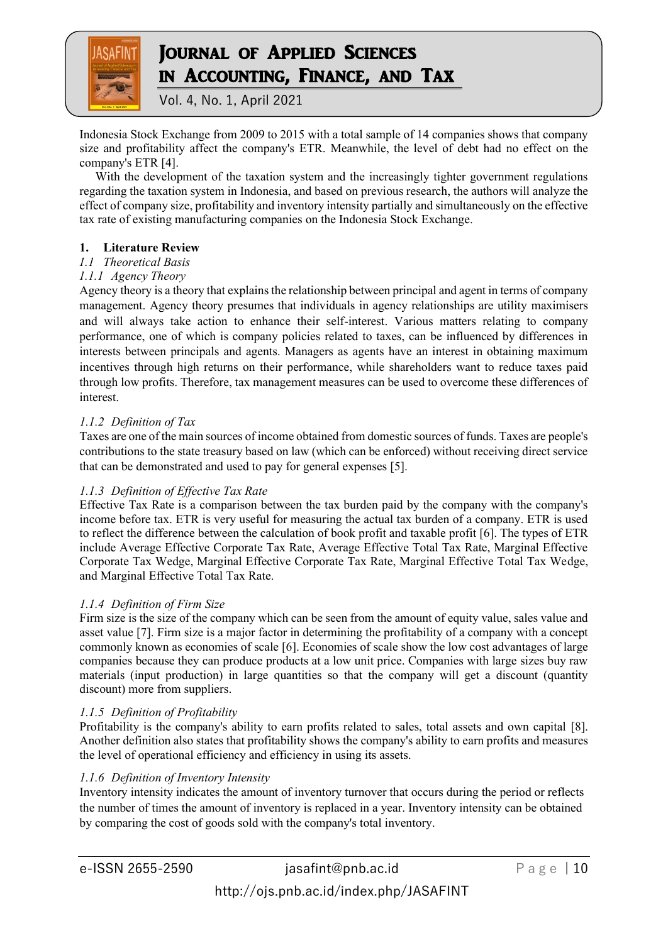

Vol. 4, No. 1, April 2021

Indonesia Stock Exchange from 2009 to 2015 with a total sample of 14 companies shows that company size and profitability affect the company's ETR. Meanwhile, the level of debt had no effect on the company's ETR [4].

With the development of the taxation system and the increasingly tighter government regulations regarding the taxation system in Indonesia, and based on previous research, the authors will analyze the effect of company size, profitability and inventory intensity partially and simultaneously on the effective tax rate of existing manufacturing companies on the Indonesia Stock Exchange.

# **1. Literature Review**

### *1.1 Theoretical Basis*

### *1.1.1 Agency Theory*

Agency theory is a theory that explains the relationship between principal and agent in terms of company management. Agency theory presumes that individuals in agency relationships are utility maximisers and will always take action to enhance their self-interest. Various matters relating to company performance, one of which is company policies related to taxes, can be influenced by differences in interests between principals and agents. Managers as agents have an interest in obtaining maximum incentives through high returns on their performance, while shareholders want to reduce taxes paid through low profits. Therefore, tax management measures can be used to overcome these differences of interest.

# *1.1.2 Definition of Tax*

Taxes are one of the main sources of income obtained from domestic sources of funds. Taxes are people's contributions to the state treasury based on law (which can be enforced) without receiving direct service that can be demonstrated and used to pay for general expenses [5].

# *1.1.3 Definition of Effective Tax Rate*

Effective Tax Rate is a comparison between the tax burden paid by the company with the company's income before tax. ETR is very useful for measuring the actual tax burden of a company. ETR is used to reflect the difference between the calculation of book profit and taxable profit [6]. The types of ETR include Average Effective Corporate Tax Rate, Average Effective Total Tax Rate, Marginal Effective Corporate Tax Wedge, Marginal Effective Corporate Tax Rate, Marginal Effective Total Tax Wedge, and Marginal Effective Total Tax Rate.

#### *1.1.4 Definition of Firm Size*

Firm size is the size of the company which can be seen from the amount of equity value, sales value and asset value [7]. Firm size is a major factor in determining the profitability of a company with a concept commonly known as economies of scale [6]. Economies of scale show the low cost advantages of large companies because they can produce products at a low unit price. Companies with large sizes buy raw materials (input production) in large quantities so that the company will get a discount (quantity discount) more from suppliers.

#### *1.1.5 Definition of Profitability*

Profitability is the company's ability to earn profits related to sales, total assets and own capital [8]. Another definition also states that profitability shows the company's ability to earn profits and measures the level of operational efficiency and efficiency in using its assets.

#### *1.1.6 Definition of Inventory Intensity*

Inventory intensity indicates the amount of inventory turnover that occurs during the period or reflects the number of times the amount of inventory is replaced in a year. Inventory intensity can be obtained by comparing the cost of goods sold with the company's total inventory.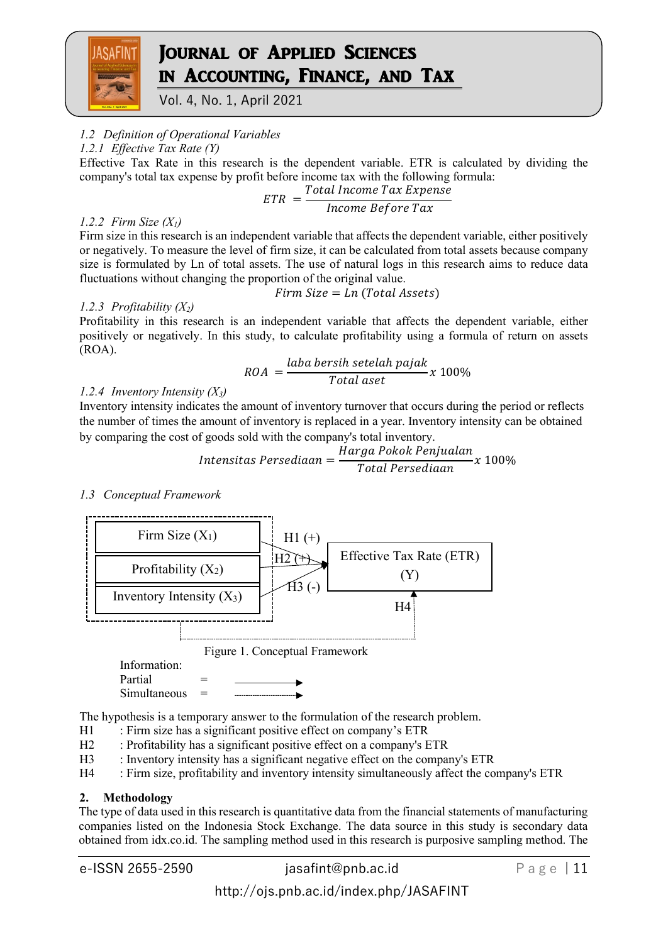

Vol. 4, No. 1, April 2021

# *1.2 Definition of Operational Variables*

*1.2.1 Effective Tax Rate (Y)*

Effective Tax Rate in this research is the dependent variable. ETR is calculated by dividing the company's total tax expense by profit before income tax with the following formula:

Total Income Tax Expense

$$
ETR = \frac{1}{\text{hcome Before Tax}}
$$

### *1.2.2 Firm Size (X1)*

Firm size in this research is an independent variable that affects the dependent variable, either positively or negatively. To measure the level of firm size, it can be calculated from total assets because company size is formulated by Ln of total assets. The use of natural logs in this research aims to reduce data fluctuations without changing the proportion of the original value.

### *1.2.3 Profitability (X2)*

 $Firm Size = In (Total Assets)$ 

Profitability in this research is an independent variable that affects the dependent variable, either positively or negatively. In this study, to calculate profitability using a formula of return on assets (ROA).

$$
ROA = \frac{laba bersih setelah pajak}{Total aset} x 100\%
$$

# *1.2.4 Inventory Intensity (X3)*

Inventory intensity indicates the amount of inventory turnover that occurs during the period or reflects the number of times the amount of inventory is replaced in a year. Inventory intensity can be obtained by comparing the cost of goods sold with the company's total inventory.

$$
Intensitas Persediaan = \frac{Harga \, Pokok \, Penjualan}{Total \, Persediaan} x \, 100\%
$$

*1.3 Conceptual Framework*



The hypothesis is a temporary answer to the formulation of the research problem.

- H1 : Firm size has a significant positive effect on company's ETR
- H2 : Profitability has a significant positive effect on a company's ETR
- H3 : Inventory intensity has a significant negative effect on the company's ETR
- H4 : Firm size, profitability and inventory intensity simultaneously affect the company's ETR

# **2. Methodology**

The type of data used in this research is quantitative data from the financial statements of manufacturing companies listed on the Indonesia Stock Exchange. The data source in this study is secondary data obtained from idx.co.id. The sampling method used in this research is purposive sampling method. The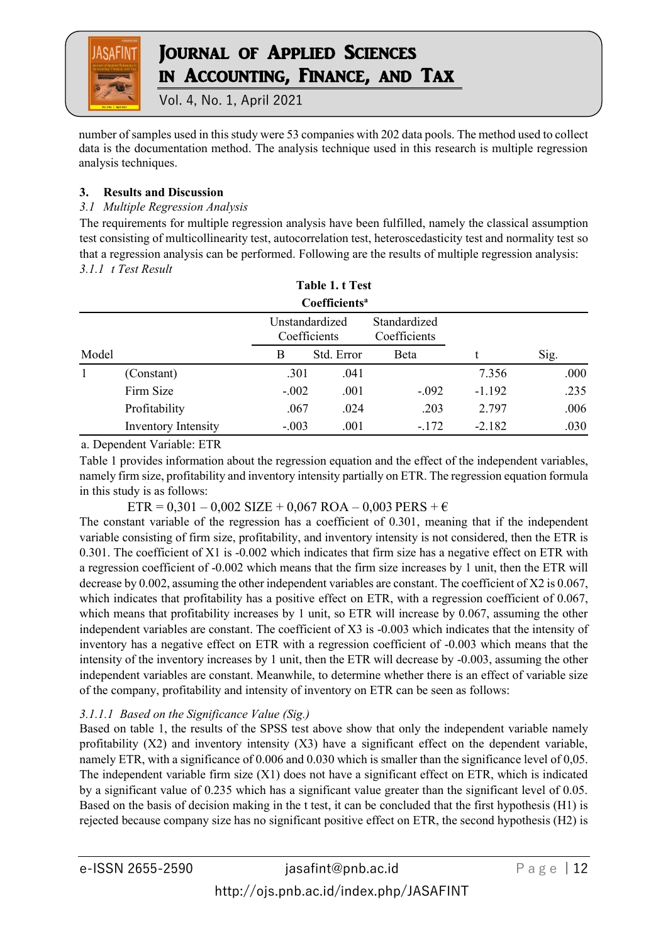

Vol. 4, No. 1, April 2021

number of samples used in this study were 53 companies with 202 data pools. The method used to collect data is the documentation method. The analysis technique used in this research is multiple regression analysis techniques.

# **3. Results and Discussion**

# *3.1 Multiple Regression Analysis*

The requirements for multiple regression analysis have been fulfilled, namely the classical assumption test consisting of multicollinearity test, autocorrelation test, heteroscedasticity test and normality test so that a regression analysis can be performed. Following are the results of multiple regression analysis: *3.1.1 t Test Result*

|       |                     |                                | Table 1. t Test           |                              |          |      |
|-------|---------------------|--------------------------------|---------------------------|------------------------------|----------|------|
|       |                     |                                | Coefficients <sup>a</sup> |                              |          |      |
|       |                     | Unstandardized<br>Coefficients |                           | Standardized<br>Coefficients |          |      |
| Model |                     | B                              | Std. Error                | Beta                         |          | Sig. |
|       | (Constant)          | .301                           | .041                      |                              | 7.356    | .000 |
|       | Firm Size           | $-.002$                        | .001                      | $-.092$                      | $-1.192$ | .235 |
|       | Profitability       | .067                           | .024                      | .203                         | 2.797    | .006 |
|       | Inventory Intensity | $-.003$                        | .001                      | $-172$                       | $-2.182$ | .030 |

a. Dependent Variable: ETR

Table 1 provides information about the regression equation and the effect of the independent variables, namely firm size, profitability and inventory intensity partially on ETR. The regression equation formula in this study is as follows:

 $ETR = 0,301 - 0,002$  SIZE + 0,067 ROA – 0,003 PERS +  $\epsilon$ 

The constant variable of the regression has a coefficient of 0.301, meaning that if the independent variable consisting of firm size, profitability, and inventory intensity is not considered, then the ETR is 0.301. The coefficient of X1 is -0.002 which indicates that firm size has a negative effect on ETR with a regression coefficient of -0.002 which means that the firm size increases by 1 unit, then the ETR will decrease by 0.002, assuming the other independent variables are constant. The coefficient of X2 is 0.067, which indicates that profitability has a positive effect on ETR, with a regression coefficient of 0.067, which means that profitability increases by 1 unit, so ETR will increase by 0.067, assuming the other independent variables are constant. The coefficient of X3 is -0.003 which indicates that the intensity of inventory has a negative effect on ETR with a regression coefficient of -0.003 which means that the intensity of the inventory increases by 1 unit, then the ETR will decrease by -0.003, assuming the other independent variables are constant. Meanwhile, to determine whether there is an effect of variable size of the company, profitability and intensity of inventory on ETR can be seen as follows:

# *3.1.1.1 Based on the Significance Value (Sig.)*

Based on table 1, the results of the SPSS test above show that only the independent variable namely profitability (X2) and inventory intensity (X3) have a significant effect on the dependent variable, namely ETR, with a significance of 0.006 and 0.030 which is smaller than the significance level of 0,05. The independent variable firm size (X1) does not have a significant effect on ETR, which is indicated by a significant value of 0.235 which has a significant value greater than the significant level of 0.05. Based on the basis of decision making in the t test, it can be concluded that the first hypothesis (H1) is rejected because company size has no significant positive effect on ETR, the second hypothesis (H2) is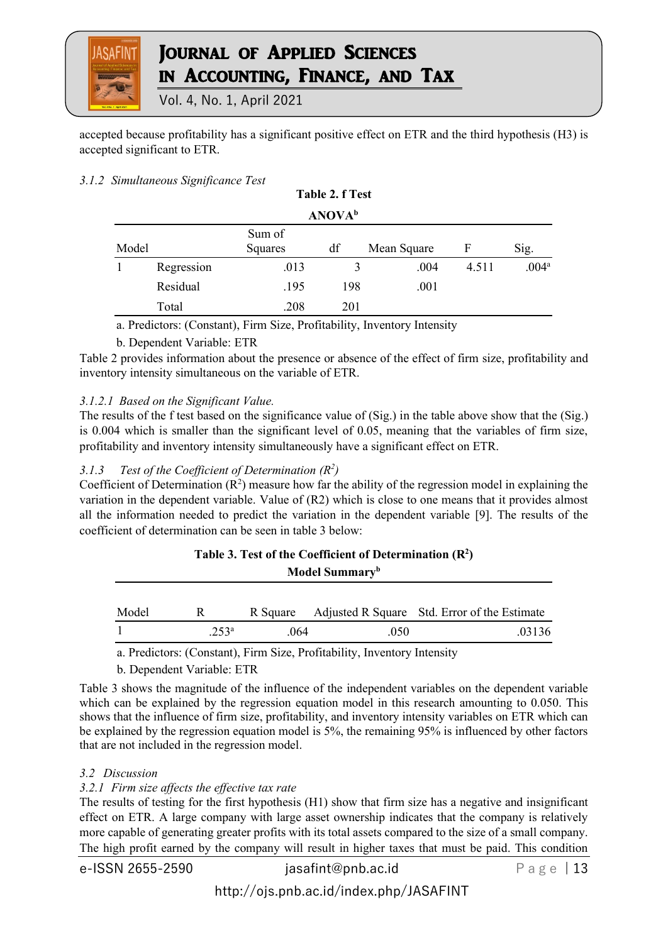

Vol. 4, No. 1, April 2021

accepted because profitability has a significant positive effect on ETR and the third hypothesis (H3) is accepted significant to ETR.

**Table 2. f Test**

# *3.1.2 Simultaneous Significance Test*

|                           |            |                         | $1$ avit $2.1$ $1$ tsl |             |       |                   |  |  |
|---------------------------|------------|-------------------------|------------------------|-------------|-------|-------------------|--|--|
| <b>ANOVA</b> <sup>b</sup> |            |                         |                        |             |       |                   |  |  |
| Model                     |            | Sum of<br>df<br>Squares |                        | Mean Square | F     | Sig.              |  |  |
|                           | Regression | .013                    | 3                      | .004        | 4.511 | .004 <sup>a</sup> |  |  |
|                           | Residual   | .195                    | 198                    | .001        |       |                   |  |  |
|                           | Total      | .208                    | 201                    |             |       |                   |  |  |

a. Predictors: (Constant), Firm Size, Profitability, Inventory Intensity

# b. Dependent Variable: ETR

Table 2 provides information about the presence or absence of the effect of firm size, profitability and inventory intensity simultaneous on the variable of ETR.

# *3.1.2.1 Based on the Significant Value.*

The results of the f test based on the significance value of (Sig.) in the table above show that the (Sig.) is 0.004 which is smaller than the significant level of 0.05, meaning that the variables of firm size, profitability and inventory intensity simultaneously have a significant effect on ETR.

# *3.1.3 Test of the Coefficient of Determination (R<sup>2</sup> )*

Coefficient of Determination  $(R^2)$  measure how far the ability of the regression model in explaining the variation in the dependent variable. Value of (R2) which is close to one means that it provides almost all the information needed to predict the variation in the dependent variable [9]. The results of the coefficient of determination can be seen in table 3 below:

| Table 3. Test of the Coefficient of Determination $(R^2)$<br>Model Summary <sup>b</sup> |               |          |      |                                              |  |  |
|-----------------------------------------------------------------------------------------|---------------|----------|------|----------------------------------------------|--|--|
| Model                                                                                   | R             | R Square |      | Adjusted R Square Std. Error of the Estimate |  |  |
|                                                                                         | $253^{\rm a}$ | .064     | .050 | .03136                                       |  |  |

a. Predictors: (Constant), Firm Size, Profitability, Inventory Intensity

b. Dependent Variable: ETR

Table 3 shows the magnitude of the influence of the independent variables on the dependent variable which can be explained by the regression equation model in this research amounting to 0.050. This shows that the influence of firm size, profitability, and inventory intensity variables on ETR which can be explained by the regression equation model is 5%, the remaining 95% is influenced by other factors that are not included in the regression model.

# *3.2 Discussion*

# *3.2.1 Firm size affects the effective tax rate*

The results of testing for the first hypothesis (H1) show that firm size has a negative and insignificant effect on ETR. A large company with large asset ownership indicates that the company is relatively more capable of generating greater profits with its total assets compared to the size of a small company. The high profit earned by the company will result in higher taxes that must be paid. This condition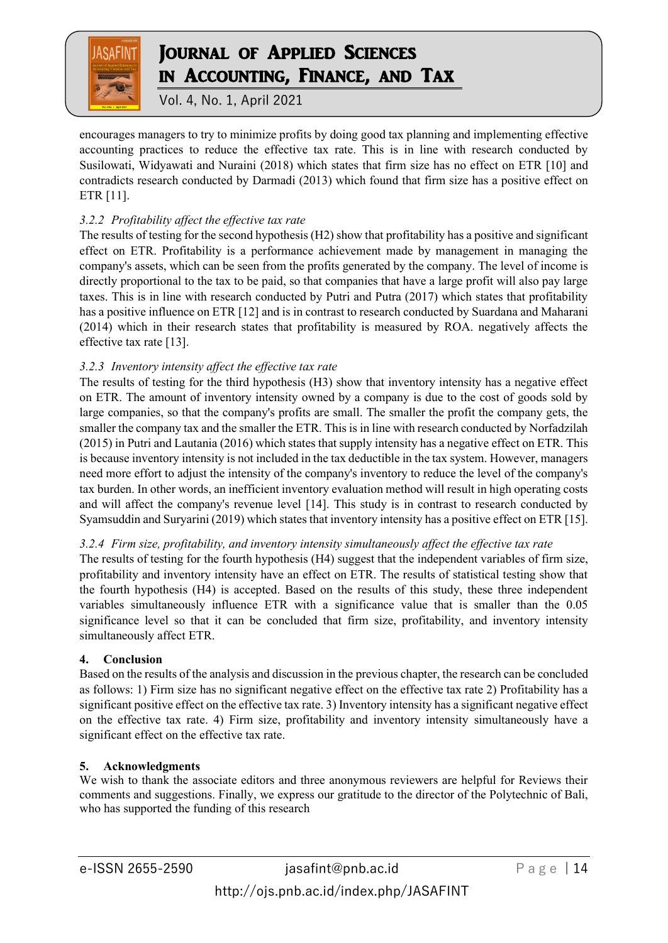

Vol. 4, No. 1, April 2021

encourages managers to try to minimize profits by doing good tax planning and implementing effective accounting practices to reduce the effective tax rate. This is in line with research conducted by Susilowati, Widyawati and Nuraini (2018) which states that firm size has no effect on ETR [10] and contradicts research conducted by Darmadi (2013) which found that firm size has a positive effect on ETR [11].

# *3.2.2 Profitability affect the effective tax rate*

The results of testing for the second hypothesis (H2) show that profitability has a positive and significant effect on ETR. Profitability is a performance achievement made by management in managing the company's assets, which can be seen from the profits generated by the company. The level of income is directly proportional to the tax to be paid, so that companies that have a large profit will also pay large taxes. This is in line with research conducted by Putri and Putra (2017) which states that profitability has a positive influence on ETR [12] and is in contrast to research conducted by Suardana and Maharani (2014) which in their research states that profitability is measured by ROA. negatively affects the effective tax rate [13].

# *3.2.3 Inventory intensity affect the effective tax rate*

The results of testing for the third hypothesis (H3) show that inventory intensity has a negative effect on ETR. The amount of inventory intensity owned by a company is due to the cost of goods sold by large companies, so that the company's profits are small. The smaller the profit the company gets, the smaller the company tax and the smaller the ETR. This is in line with research conducted by Norfadzilah (2015) in Putri and Lautania (2016) which states that supply intensity has a negative effect on ETR. This is because inventory intensity is not included in the tax deductible in the tax system. However, managers need more effort to adjust the intensity of the company's inventory to reduce the level of the company's tax burden. In other words, an inefficient inventory evaluation method will result in high operating costs and will affect the company's revenue level [14]. This study is in contrast to research conducted by Syamsuddin and Suryarini (2019) which states that inventory intensity has a positive effect on ETR [15].

# *3.2.4 Firm size, profitability, and inventory intensity simultaneously affect the effective tax rate*

The results of testing for the fourth hypothesis (H4) suggest that the independent variables of firm size, profitability and inventory intensity have an effect on ETR. The results of statistical testing show that the fourth hypothesis (H4) is accepted. Based on the results of this study, these three independent variables simultaneously influence ETR with a significance value that is smaller than the 0.05 significance level so that it can be concluded that firm size, profitability, and inventory intensity simultaneously affect ETR.

# **4. Conclusion**

Based on the results of the analysis and discussion in the previous chapter, the research can be concluded as follows: 1) Firm size has no significant negative effect on the effective tax rate 2) Profitability has a significant positive effect on the effective tax rate. 3) Inventory intensity has a significant negative effect on the effective tax rate. 4) Firm size, profitability and inventory intensity simultaneously have a significant effect on the effective tax rate.

# **5. Acknowledgments**

We wish to thank the associate editors and three anonymous reviewers are helpful for Reviews their comments and suggestions. Finally, we express our gratitude to the director of the Polytechnic of Bali, who has supported the funding of this research